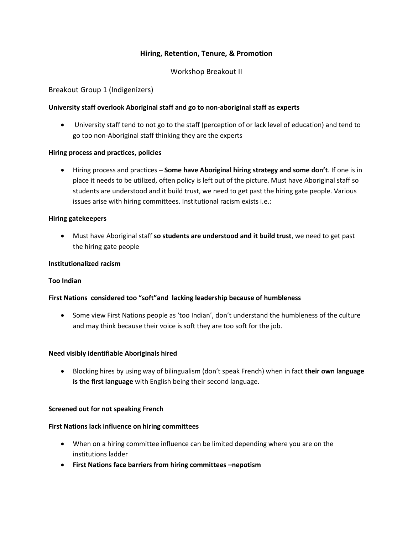# **Hiring, Retention, Tenure, & Promotion**

## Workshop Breakout II

### Breakout Group 1 (Indigenizers)

### **University staff overlook Aboriginal staff and go to non-aboriginal staff as experts**

 University staff tend to not go to the staff (perception of or lack level of education) and tend to go too non-Aboriginal staff thinking they are the experts

### **Hiring process and practices, policies**

 Hiring process and practices **– Some have Aboriginal hiring strategy and some don't**. If one is in place it needs to be utilized, often policy is left out of the picture. Must have Aboriginal staff so students are understood and it build trust, we need to get past the hiring gate people. Various issues arise with hiring committees. Institutional racism exists i.e.:

### **Hiring gatekeepers**

 Must have Aboriginal staff **so students are understood and it build trust**, we need to get past the hiring gate people

### **Institutionalized racism**

### **Too Indian**

### **First Nations considered too "soft"and lacking leadership because of humbleness**

• Some view First Nations people as 'too Indian', don't understand the humbleness of the culture and may think because their voice is soft they are too soft for the job.

### **Need visibly identifiable Aboriginals hired**

 Blocking hires by using way of bilingualism (don't speak French) when in fact **their own language is the first language** with English being their second language.

### **Screened out for not speaking French**

### **First Nations lack influence on hiring committees**

- When on a hiring committee influence can be limited depending where you are on the institutions ladder
- **First Nations face barriers from hiring committees –nepotism**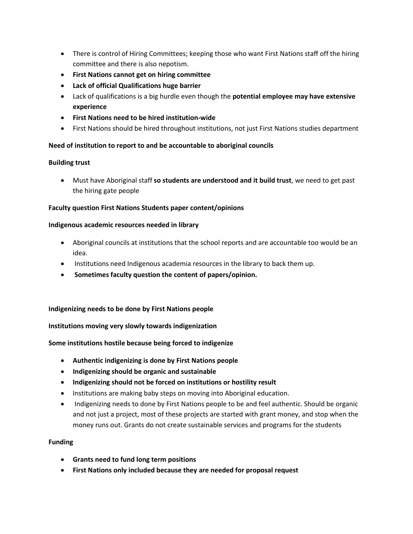- There is control of Hiring Committees; keeping those who want First Nations staff off the hiring committee and there is also nepotism.
- **First Nations cannot get on hiring committee**
- **Lack of official Qualifications huge barrier**
- Lack of qualifications is a big hurdle even though the **potential employee may have extensive experience**
- **First Nations need to be hired institution-wide**
- First Nations should be hired throughout institutions, not just First Nations studies department

# **Need of institution to report to and be accountable to aboriginal councils**

## **Building trust**

 Must have Aboriginal staff **so students are understood and it build trust**, we need to get past the hiring gate people

## **Faculty question First Nations Students paper content/opinions**

## **Indigenous academic resources needed in library**

- Aboriginal councils at institutions that the school reports and are accountable too would be an idea.
- Institutions need Indigenous academia resources in the library to back them up.
- **Sometimes faculty question the content of papers/opinion.**

**Indigenizing needs to be done by First Nations people**

**Institutions moving very slowly towards indigenization**

**Some institutions hostile because being forced to indigenize**

- **Authentic indigenizing is done by First Nations people**
- **Indigenizing should be organic and sustainable**
- **Indigenizing should not be forced on institutions or hostility result**
- Institutions are making baby steps on moving into Aboriginal education.
- Indigenizing needs to done by First Nations people to be and feel authentic. Should be organic and not just a project, most of these projects are started with grant money, and stop when the money runs out. Grants do not create sustainable services and programs for the students

## **Funding**

- **Grants need to fund long term positions**
- **First Nations only included because they are needed for proposal request**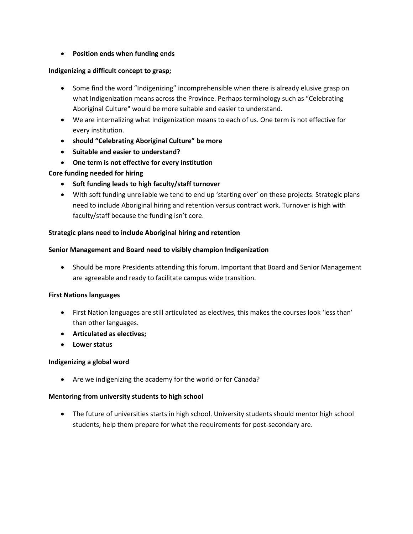## **Position ends when funding ends**

## **Indigenizing a difficult concept to grasp;**

- Some find the word "Indigenizing" incomprehensible when there is already elusive grasp on what Indigenization means across the Province. Perhaps terminology such as "Celebrating Aboriginal Culture" would be more suitable and easier to understand.
- We are internalizing what Indigenization means to each of us. One term is not effective for every institution.
- **should "Celebrating Aboriginal Culture" be more**
- **Suitable and easier to understand?**
- **One term is not effective for every institution**

## **Core funding needed for hiring**

- **Soft funding leads to high faculty/staff turnover**
- With soft funding unreliable we tend to end up 'starting over' on these projects. Strategic plans need to include Aboriginal hiring and retention versus contract work. Turnover is high with faculty/staff because the funding isn't core.

## **Strategic plans need to include Aboriginal hiring and retention**

## **Senior Management and Board need to visibly champion Indigenization**

 Should be more Presidents attending this forum. Important that Board and Senior Management are agreeable and ready to facilitate campus wide transition.

## **First Nations languages**

- First Nation languages are still articulated as electives, this makes the courses look 'less than' than other languages.
- **Articulated as electives;**
- **Lower status**

## **Indigenizing a global word**

Are we indigenizing the academy for the world or for Canada?

## **Mentoring from university students to high school**

• The future of universities starts in high school. University students should mentor high school students, help them prepare for what the requirements for post-secondary are.